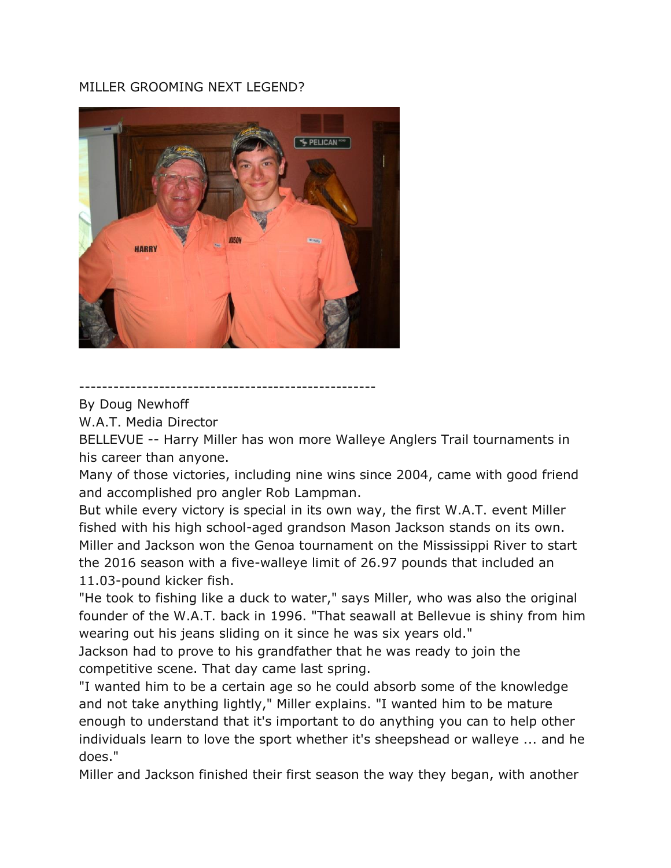## MILLER GROOMING NEXT LEGEND?



----------------------------------------------------

By Doug Newhoff

W.A.T. Media Director

BELLEVUE -- Harry Miller has won more Walleye Anglers Trail tournaments in his career than anyone.

Many of those victories, including nine wins since 2004, came with good friend and accomplished pro angler Rob Lampman.

But while every victory is special in its own way, the first W.A.T. event Miller fished with his high school-aged grandson Mason Jackson stands on its own. Miller and Jackson won the Genoa tournament on the Mississippi River to start the 2016 season with a five-walleye limit of 26.97 pounds that included an 11.03-pound kicker fish.

"He took to fishing like a duck to water," says Miller, who was also the original founder of the W.A.T. back in 1996. "That seawall at Bellevue is shiny from him wearing out his jeans sliding on it since he was six years old."

Jackson had to prove to his grandfather that he was ready to join the competitive scene. That day came last spring.

"I wanted him to be a certain age so he could absorb some of the knowledge and not take anything lightly," Miller explains. "I wanted him to be mature enough to understand that it's important to do anything you can to help other individuals learn to love the sport whether it's sheepshead or walleye ... and he does."

Miller and Jackson finished their first season the way they began, with another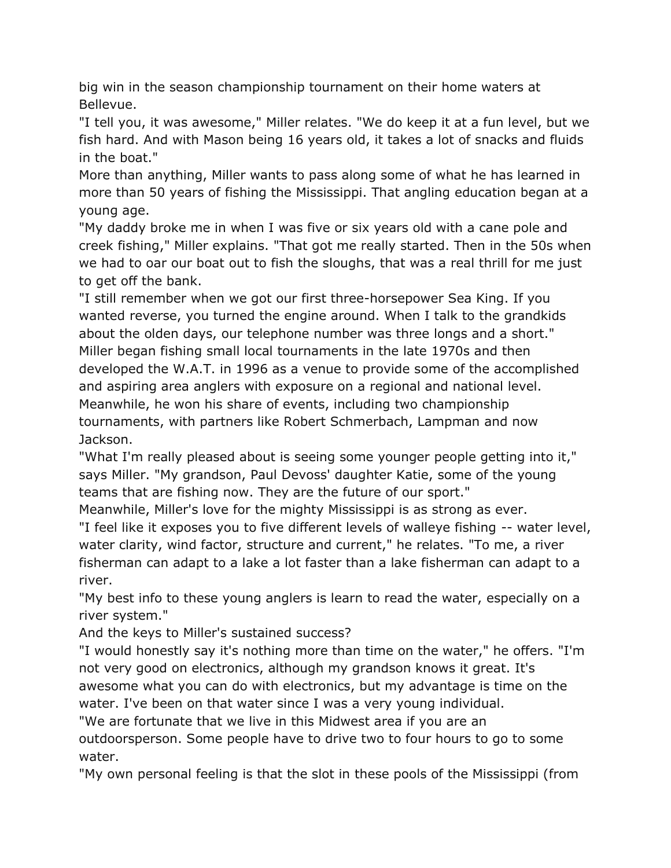big win in the season championship tournament on their home waters at Bellevue.

"I tell you, it was awesome," Miller relates. "We do keep it at a fun level, but we fish hard. And with Mason being 16 years old, it takes a lot of snacks and fluids in the boat."

More than anything, Miller wants to pass along some of what he has learned in more than 50 years of fishing the Mississippi. That angling education began at a young age.

"My daddy broke me in when I was five or six years old with a cane pole and creek fishing," Miller explains. "That got me really started. Then in the 50s when we had to oar our boat out to fish the sloughs, that was a real thrill for me just to get off the bank.

"I still remember when we got our first three-horsepower Sea King. If you wanted reverse, you turned the engine around. When I talk to the grandkids about the olden days, our telephone number was three longs and a short." Miller began fishing small local tournaments in the late 1970s and then developed the W.A.T. in 1996 as a venue to provide some of the accomplished and aspiring area anglers with exposure on a regional and national level. Meanwhile, he won his share of events, including two championship tournaments, with partners like Robert Schmerbach, Lampman and now Jackson.

"What I'm really pleased about is seeing some younger people getting into it," says Miller. "My grandson, Paul Devoss' daughter Katie, some of the young teams that are fishing now. They are the future of our sport."

Meanwhile, Miller's love for the mighty Mississippi is as strong as ever. "I feel like it exposes you to five different levels of walleye fishing -- water level, water clarity, wind factor, structure and current," he relates. "To me, a river fisherman can adapt to a lake a lot faster than a lake fisherman can adapt to a river.

"My best info to these young anglers is learn to read the water, especially on a river system."

And the keys to Miller's sustained success?

"I would honestly say it's nothing more than time on the water," he offers. "I'm not very good on electronics, although my grandson knows it great. It's awesome what you can do with electronics, but my advantage is time on the water. I've been on that water since I was a very young individual.

"We are fortunate that we live in this Midwest area if you are an

outdoorsperson. Some people have to drive two to four hours to go to some water.

"My own personal feeling is that the slot in these pools of the Mississippi (from